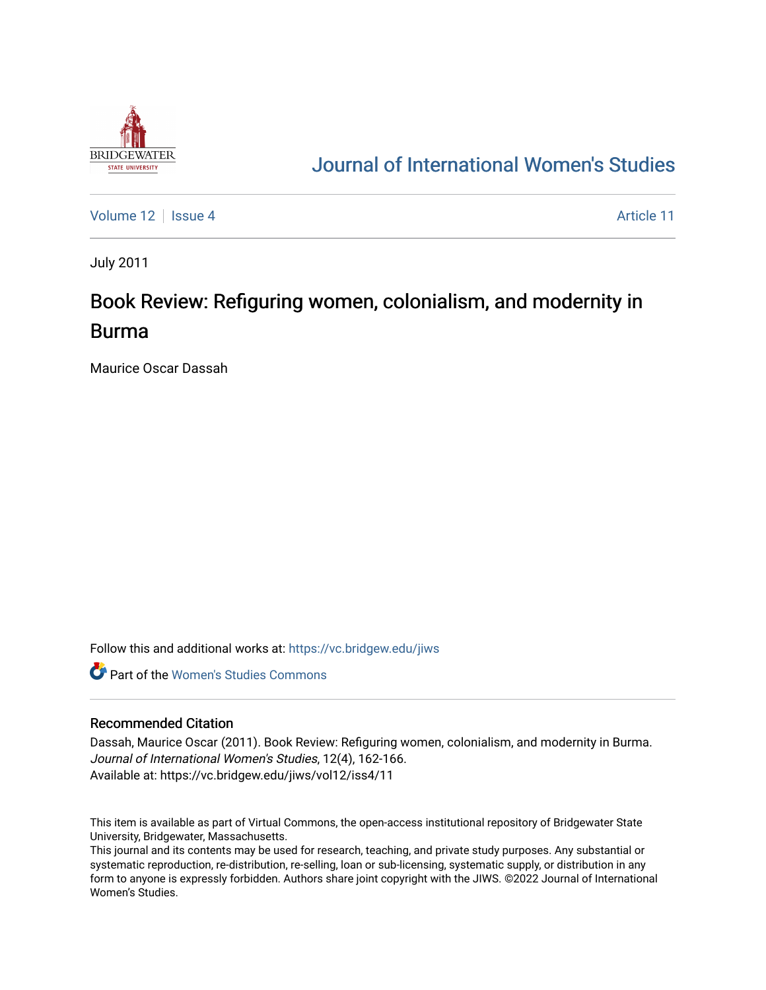

## [Journal of International Women's Studies](https://vc.bridgew.edu/jiws)

[Volume 12](https://vc.bridgew.edu/jiws/vol12) | [Issue 4](https://vc.bridgew.edu/jiws/vol12/iss4) Article 11

July 2011

# Book Review: Refiguring women, colonialism, and modernity in Burma

Maurice Oscar Dassah

Follow this and additional works at: [https://vc.bridgew.edu/jiws](https://vc.bridgew.edu/jiws?utm_source=vc.bridgew.edu%2Fjiws%2Fvol12%2Fiss4%2F11&utm_medium=PDF&utm_campaign=PDFCoverPages)

**C** Part of the Women's Studies Commons

#### Recommended Citation

Dassah, Maurice Oscar (2011). Book Review: Refiguring women, colonialism, and modernity in Burma. Journal of International Women's Studies, 12(4), 162-166. Available at: https://vc.bridgew.edu/jiws/vol12/iss4/11

This item is available as part of Virtual Commons, the open-access institutional repository of Bridgewater State University, Bridgewater, Massachusetts.

This journal and its contents may be used for research, teaching, and private study purposes. Any substantial or systematic reproduction, re-distribution, re-selling, loan or sub-licensing, systematic supply, or distribution in any form to anyone is expressly forbidden. Authors share joint copyright with the JIWS. ©2022 Journal of International Women's Studies.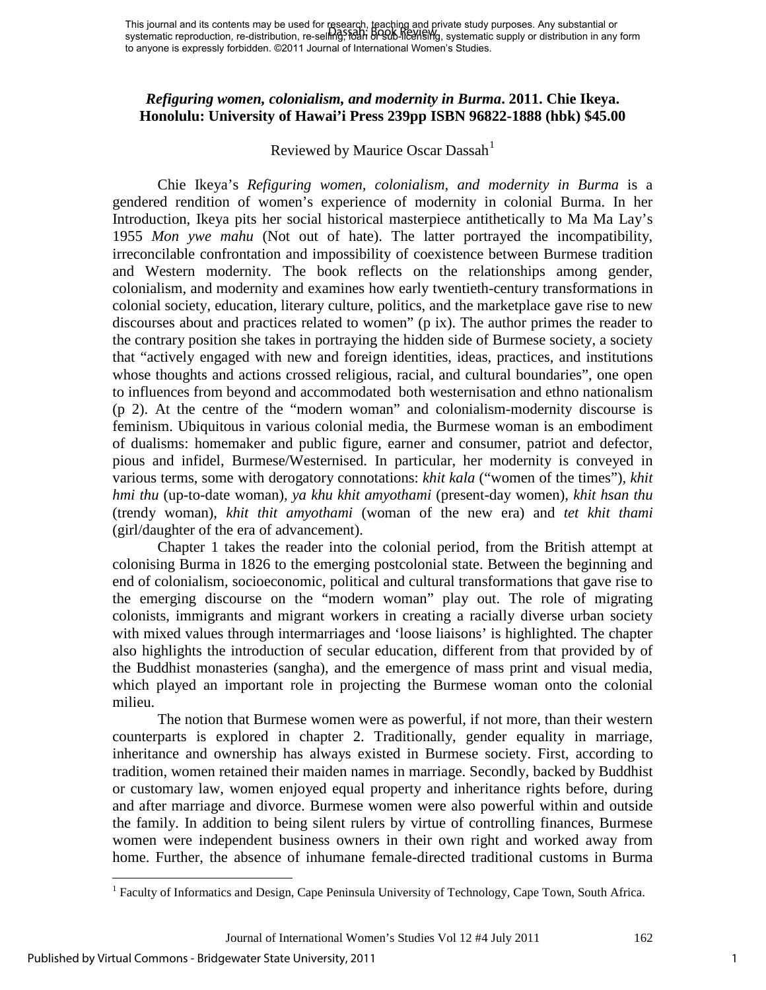### *Refiguring women, colonialism, and modernity in Burma***. 2011. Chie Ikeya. Honolulu: University of Hawai'i Press 239pp ISBN 96822-1888 (hbk) \$45.00**

## Reviewed by Maurice Oscar Dassah<sup>[1](#page-1-0)</sup>

Chie Ikeya's *Refiguring women, colonialism, and modernity in Burma* is a gendered rendition of women's experience of modernity in colonial Burma. In her Introduction, Ikeya pits her social historical masterpiece antithetically to Ma Ma Lay's 1955 *Mon ywe mahu* (Not out of hate). The latter portrayed the incompatibility, irreconcilable confrontation and impossibility of coexistence between Burmese tradition and Western modernity. The book reflects on the relationships among gender, colonialism, and modernity and examines how early twentieth-century transformations in colonial society, education, literary culture, politics, and the marketplace gave rise to new discourses about and practices related to women" (p ix). The author primes the reader to the contrary position she takes in portraying the hidden side of Burmese society, a society that "actively engaged with new and foreign identities, ideas, practices, and institutions whose thoughts and actions crossed religious, racial, and cultural boundaries", one open to influences from beyond and accommodated both westernisation and ethno nationalism (p 2). At the centre of the "modern woman" and colonialism-modernity discourse is feminism. Ubiquitous in various colonial media, the Burmese woman is an embodiment of dualisms: homemaker and public figure, earner and consumer, patriot and defector, pious and infidel, Burmese/Westernised. In particular, her modernity is conveyed in various terms, some with derogatory connotations: *khit kala* ("women of the times")*, khit hmi thu* (up-to-date woman)*, ya khu khit amyothami* (present-day women), *khit hsan thu* (trendy woman), *khit thit amyothami* (woman of the new era) and *tet khit thami* (girl/daughter of the era of advancement).

Chapter 1 takes the reader into the colonial period, from the British attempt at colonising Burma in 1826 to the emerging postcolonial state. Between the beginning and end of colonialism, socioeconomic, political and cultural transformations that gave rise to the emerging discourse on the "modern woman" play out. The role of migrating colonists, immigrants and migrant workers in creating a racially diverse urban society with mixed values through intermarriages and 'loose liaisons' is highlighted. The chapter also highlights the introduction of secular education, different from that provided by of the Buddhist monasteries (sangha), and the emergence of mass print and visual media, which played an important role in projecting the Burmese woman onto the colonial milieu.

The notion that Burmese women were as powerful, if not more, than their western counterparts is explored in chapter 2. Traditionally, gender equality in marriage, inheritance and ownership has always existed in Burmese society. First, according to tradition, women retained their maiden names in marriage. Secondly, backed by Buddhist or customary law, women enjoyed equal property and inheritance rights before, during and after marriage and divorce. Burmese women were also powerful within and outside the family. In addition to being silent rulers by virtue of controlling finances, Burmese women were independent business owners in their own right and worked away from home. Further, the absence of inhumane female-directed traditional customs in Burma

 $\overline{a}$ 

<span id="page-1-0"></span><sup>&</sup>lt;sup>1</sup> Faculty of Informatics and Design, Cape Peninsula University of Technology, Cape Town, South Africa.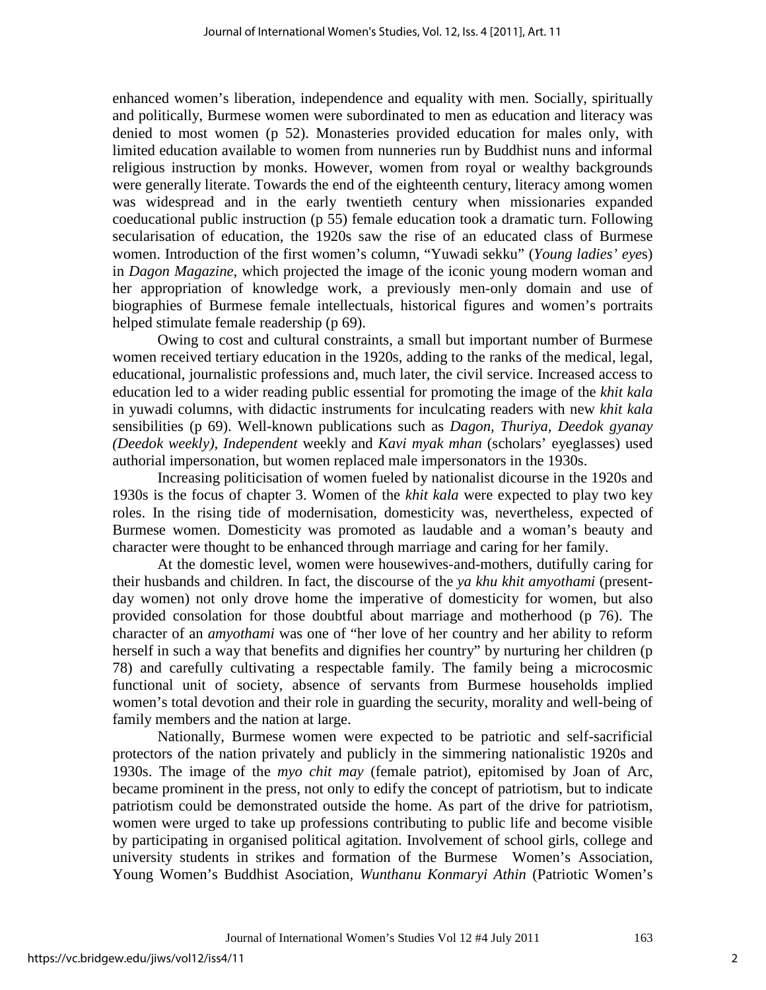enhanced women's liberation, independence and equality with men. Socially, spiritually and politically, Burmese women were subordinated to men as education and literacy was denied to most women (p 52). Monasteries provided education for males only, with limited education available to women from nunneries run by Buddhist nuns and informal religious instruction by monks. However, women from royal or wealthy backgrounds were generally literate. Towards the end of the eighteenth century, literacy among women was widespread and in the early twentieth century when missionaries expanded coeducational public instruction (p 55) female education took a dramatic turn. Following secularisation of education, the 1920s saw the rise of an educated class of Burmese women. Introduction of the first women's column, "Yuwadi sekku" (*Young ladies' eye*s) in *Dagon Magazine*, which projected the image of the iconic young modern woman and her appropriation of knowledge work, a previously men-only domain and use of biographies of Burmese female intellectuals, historical figures and women's portraits helped stimulate female readership (p 69).

Owing to cost and cultural constraints, a small but important number of Burmese women received tertiary education in the 1920s, adding to the ranks of the medical, legal, educational, journalistic professions and, much later, the civil service. Increased access to education led to a wider reading public essential for promoting the image of the *khit kala* in yuwadi columns, with didactic instruments for inculcating readers with new *khit kala* sensibilities (p 69). Well-known publications such as *Dagon, Thuriya, Deedok gyanay (Deedok weekly), Independent* weekly and *Kavi myak mhan* (scholars' eyeglasses) used authorial impersonation, but women replaced male impersonators in the 1930s.

Increasing politicisation of women fueled by nationalist dicourse in the 1920s and 1930s is the focus of chapter 3. Women of the *khit kala* were expected to play two key roles. In the rising tide of modernisation, domesticity was, nevertheless, expected of Burmese women. Domesticity was promoted as laudable and a woman's beauty and character were thought to be enhanced through marriage and caring for her family.

At the domestic level, women were housewives-and-mothers, dutifully caring for their husbands and children. In fact, the discourse of the *ya khu khit amyothami* (presentday women) not only drove home the imperative of domesticity for women, but also provided consolation for those doubtful about marriage and motherhood (p 76). The character of an *amyothami* was one of "her love of her country and her ability to reform herself in such a way that benefits and dignifies her country" by nurturing her children (p 78) and carefully cultivating a respectable family. The family being a microcosmic functional unit of society, absence of servants from Burmese households implied women's total devotion and their role in guarding the security, morality and well-being of family members and the nation at large.

Nationally, Burmese women were expected to be patriotic and self-sacrificial protectors of the nation privately and publicly in the simmering nationalistic 1920s and 1930s. The image of the *myo chit may* (female patriot), epitomised by Joan of Arc, became prominent in the press, not only to edify the concept of patriotism, but to indicate patriotism could be demonstrated outside the home. As part of the drive for patriotism, women were urged to take up professions contributing to public life and become visible by participating in organised political agitation. Involvement of school girls, college and university students in strikes and formation of the Burmese Women's Association, Young Women's Buddhist Asociation, *Wunthanu Konmaryi Athin* (Patriotic Women's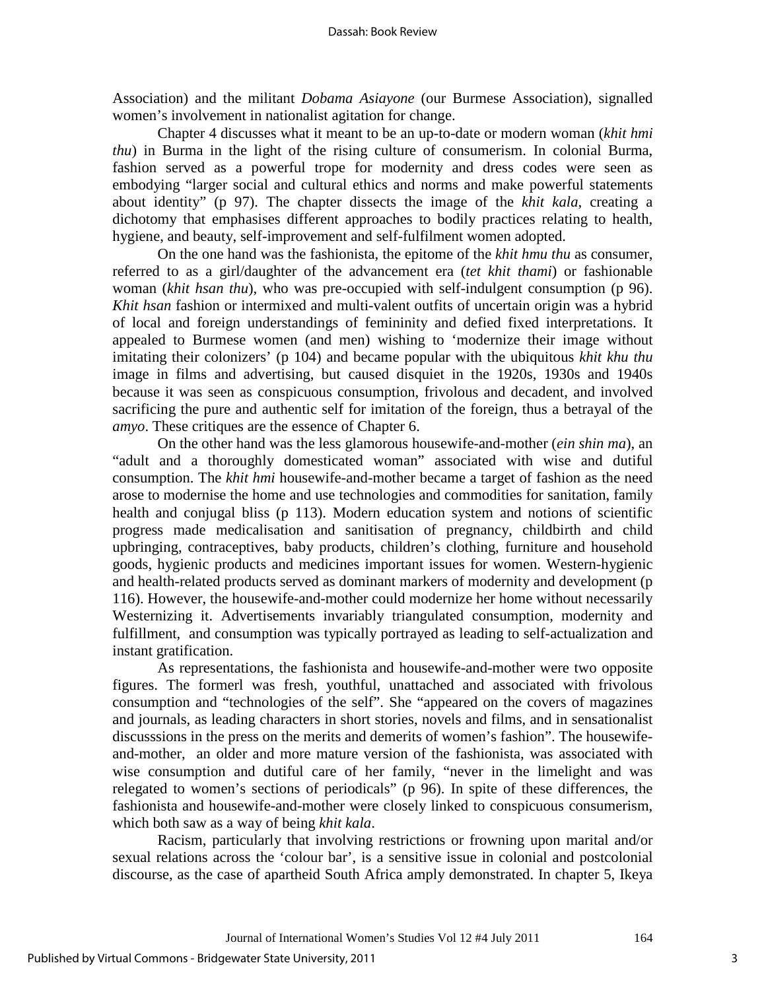Association) and the militant *Dobama Asiayone* (our Burmese Association), signalled women's involvement in nationalist agitation for change.

Chapter 4 discusses what it meant to be an up-to-date or modern woman (*khit hmi thu*) in Burma in the light of the rising culture of consumerism. In colonial Burma, fashion served as a powerful trope for modernity and dress codes were seen as embodying "larger social and cultural ethics and norms and make powerful statements about identity" (p 97). The chapter dissects the image of the *khit kala*, creating a dichotomy that emphasises different approaches to bodily practices relating to health, hygiene, and beauty, self-improvement and self-fulfilment women adopted.

On the one hand was the fashionista, the epitome of the *khit hmu thu* as consumer, referred to as a girl/daughter of the advancement era (*tet khit thami*) or fashionable woman (*khit hsan thu*), who was pre-occupied with self-indulgent consumption (p 96). *Khit hsan* fashion or intermixed and multi-valent outfits of uncertain origin was a hybrid of local and foreign understandings of femininity and defied fixed interpretations. It appealed to Burmese women (and men) wishing to 'modernize their image without imitating their colonizers' (p 104) and became popular with the ubiquitous *khit khu thu* image in films and advertising, but caused disquiet in the 1920s, 1930s and 1940s because it was seen as conspicuous consumption, frivolous and decadent, and involved sacrificing the pure and authentic self for imitation of the foreign, thus a betrayal of the *amyo*. These critiques are the essence of Chapter 6.

On the other hand was the less glamorous housewife-and-mother (*ein shin ma*), an "adult and a thoroughly domesticated woman" associated with wise and dutiful consumption. The *khit hmi* housewife-and-mother became a target of fashion as the need arose to modernise the home and use technologies and commodities for sanitation, family health and conjugal bliss (p 113). Modern education system and notions of scientific progress made medicalisation and sanitisation of pregnancy, childbirth and child upbringing, contraceptives, baby products, children's clothing, furniture and household goods, hygienic products and medicines important issues for women. Western-hygienic and health-related products served as dominant markers of modernity and development (p 116). However, the housewife-and-mother could modernize her home without necessarily Westernizing it. Advertisements invariably triangulated consumption, modernity and fulfillment, and consumption was typically portrayed as leading to self-actualization and instant gratification.

As representations, the fashionista and housewife-and-mother were two opposite figures. The formerl was fresh, youthful, unattached and associated with frivolous consumption and "technologies of the self". She "appeared on the covers of magazines and journals, as leading characters in short stories, novels and films, and in sensationalist discusssions in the press on the merits and demerits of women's fashion". The housewifeand-mother, an older and more mature version of the fashionista, was associated with wise consumption and dutiful care of her family, "never in the limelight and was relegated to women's sections of periodicals" (p 96). In spite of these differences, the fashionista and housewife-and-mother were closely linked to conspicuous consumerism, which both saw as a way of being *khit kala*.

Racism, particularly that involving restrictions or frowning upon marital and/or sexual relations across the 'colour bar', is a sensitive issue in colonial and postcolonial discourse, as the case of apartheid South Africa amply demonstrated. In chapter 5, Ikeya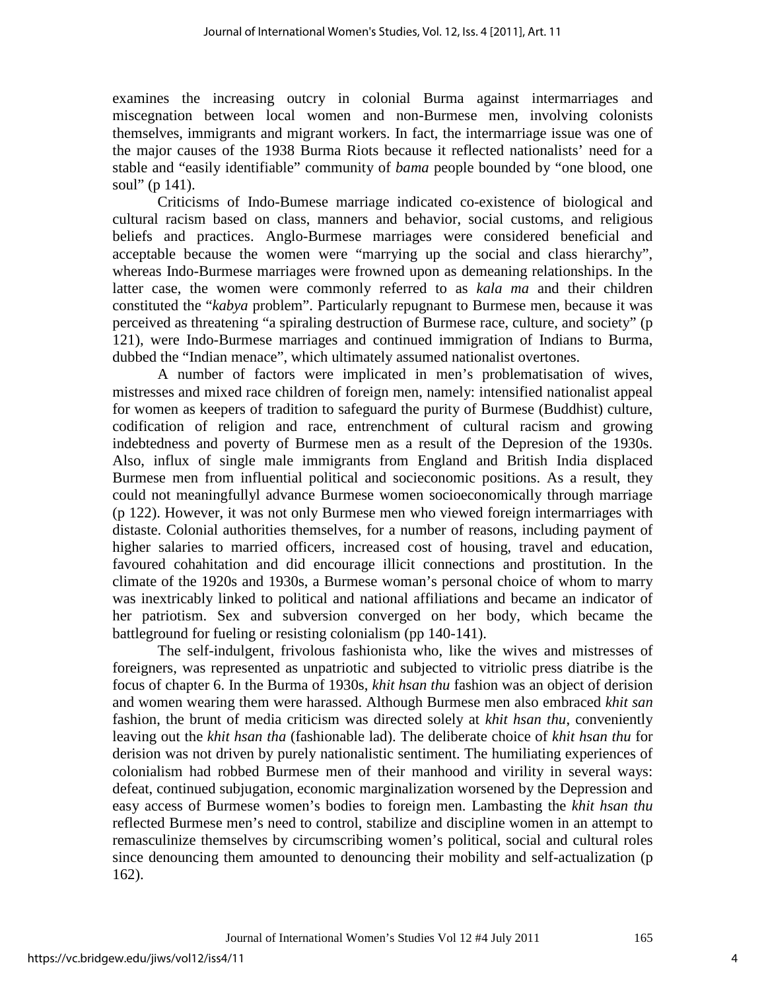examines the increasing outcry in colonial Burma against intermarriages and miscegnation between local women and non-Burmese men, involving colonists themselves, immigrants and migrant workers. In fact, the intermarriage issue was one of the major causes of the 1938 Burma Riots because it reflected nationalists' need for a stable and "easily identifiable" community of *bama* people bounded by "one blood, one soul" (p 141).

Criticisms of Indo-Bumese marriage indicated co-existence of biological and cultural racism based on class, manners and behavior, social customs, and religious beliefs and practices. Anglo-Burmese marriages were considered beneficial and acceptable because the women were "marrying up the social and class hierarchy", whereas Indo-Burmese marriages were frowned upon as demeaning relationships. In the latter case, the women were commonly referred to as *kala ma* and their children constituted the "*kabya* problem". Particularly repugnant to Burmese men, because it was perceived as threatening "a spiraling destruction of Burmese race, culture, and society" (p 121), were Indo-Burmese marriages and continued immigration of Indians to Burma, dubbed the "Indian menace", which ultimately assumed nationalist overtones.

A number of factors were implicated in men's problematisation of wives, mistresses and mixed race children of foreign men, namely: intensified nationalist appeal for women as keepers of tradition to safeguard the purity of Burmese (Buddhist) culture, codification of religion and race, entrenchment of cultural racism and growing indebtedness and poverty of Burmese men as a result of the Depresion of the 1930s. Also, influx of single male immigrants from England and British India displaced Burmese men from influential political and socieconomic positions. As a result, they could not meaningfullyl advance Burmese women socioeconomically through marriage (p 122). However, it was not only Burmese men who viewed foreign intermarriages with distaste. Colonial authorities themselves, for a number of reasons, including payment of higher salaries to married officers, increased cost of housing, travel and education, favoured cohahitation and did encourage illicit connections and prostitution. In the climate of the 1920s and 1930s, a Burmese woman's personal choice of whom to marry was inextricably linked to political and national affiliations and became an indicator of her patriotism. Sex and subversion converged on her body, which became the battleground for fueling or resisting colonialism (pp 140-141).

The self-indulgent, frivolous fashionista who, like the wives and mistresses of foreigners, was represented as unpatriotic and subjected to vitriolic press diatribe is the focus of chapter 6. In the Burma of 1930s, *khit hsan thu* fashion was an object of derision and women wearing them were harassed. Although Burmese men also embraced *khit san* fashion, the brunt of media criticism was directed solely at *khit hsan thu*, conveniently leaving out the *khit hsan tha* (fashionable lad). The deliberate choice of *khit hsan thu* for derision was not driven by purely nationalistic sentiment. The humiliating experiences of colonialism had robbed Burmese men of their manhood and virility in several ways: defeat, continued subjugation, economic marginalization worsened by the Depression and easy access of Burmese women's bodies to foreign men. Lambasting the *khit hsan thu* reflected Burmese men's need to control, stabilize and discipline women in an attempt to remasculinize themselves by circumscribing women's political, social and cultural roles since denouncing them amounted to denouncing their mobility and self-actualization (p 162).